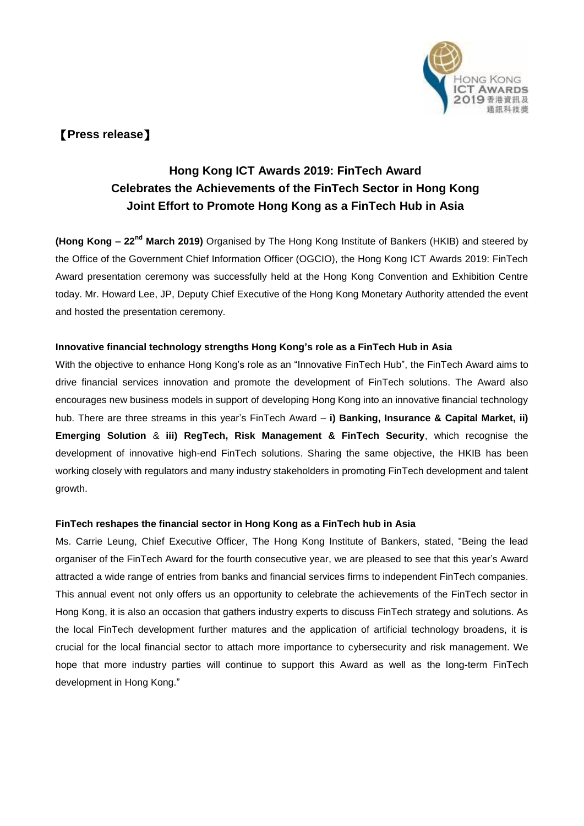

## 【**Press release**】

## **Hong Kong ICT Awards 2019: FinTech Award Celebrates the Achievements of the FinTech Sector in Hong Kong Joint Effort to Promote Hong Kong as a FinTech Hub in Asia**

**(Hong Kong – 22nd March 2019)** Organised by The Hong Kong Institute of Bankers (HKIB) and steered by the Office of the Government Chief Information Officer (OGCIO), the Hong Kong ICT Awards 2019: FinTech Award presentation ceremony was successfully held at the Hong Kong Convention and Exhibition Centre today. Mr. Howard Lee, JP, Deputy Chief Executive of the Hong Kong Monetary Authority attended the event and hosted the presentation ceremony.

### **Innovative financial technology strengths Hong Kong's role as a FinTech Hub in Asia**

With the objective to enhance Hong Kong's role as an "Innovative FinTech Hub", the FinTech Award aims to drive financial services innovation and promote the development of FinTech solutions. The Award also encourages new business models in support of developing Hong Kong into an innovative financial technology hub. There are three streams in this year's FinTech Award – **i) Banking, Insurance & Capital Market, ii) Emerging Solution** & **iii) RegTech, Risk Management & FinTech Security**, which recognise the development of innovative high-end FinTech solutions. Sharing the same objective, the HKIB has been working closely with regulators and many industry stakeholders in promoting FinTech development and talent growth.

#### **FinTech reshapes the financial sector in Hong Kong as a FinTech hub in Asia**

Ms. Carrie Leung, Chief Executive Officer, The Hong Kong Institute of Bankers, stated, "Being the lead organiser of the FinTech Award for the fourth consecutive year, we are pleased to see that this year's Award attracted a wide range of entries from banks and financial services firms to independent FinTech companies. This annual event not only offers us an opportunity to celebrate the achievements of the FinTech sector in Hong Kong, it is also an occasion that gathers industry experts to discuss FinTech strategy and solutions. As the local FinTech development further matures and the application of artificial technology broadens, it is crucial for the local financial sector to attach more importance to cybersecurity and risk management. We hope that more industry parties will continue to support this Award as well as the long-term FinTech development in Hong Kong."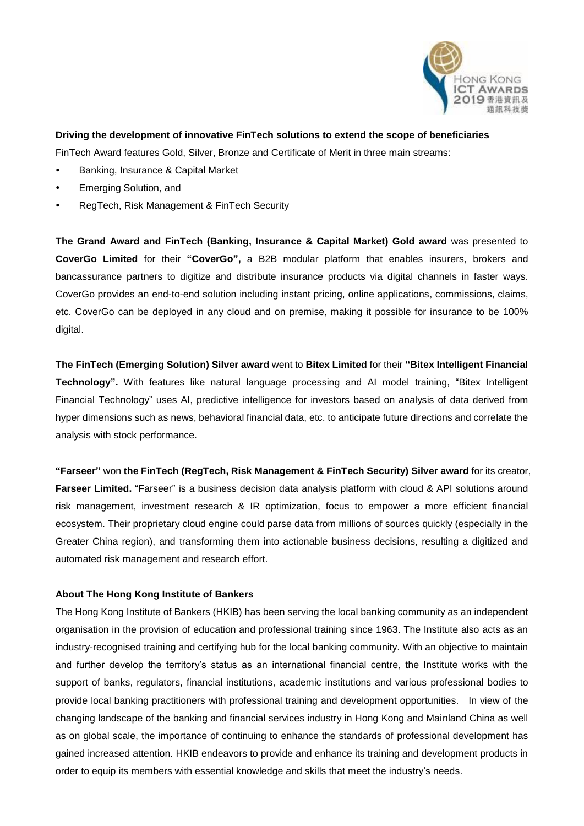

#### **Driving the development of innovative FinTech solutions to extend the scope of beneficiaries**

FinTech Award features Gold, Silver, Bronze and Certificate of Merit in three main streams:

- Banking, Insurance & Capital Market
- Emerging Solution, and
- RegTech, Risk Management & FinTech Security

**The Grand Award and FinTech (Banking, Insurance & Capital Market) Gold award** was presented to **CoverGo Limited** for their **"CoverGo",** a B2B modular platform that enables insurers, brokers and bancassurance partners to digitize and distribute insurance products via digital channels in faster ways. CoverGo provides an end-to-end solution including instant pricing, online applications, commissions, claims, etc. CoverGo can be deployed in any cloud and on premise, making it possible for insurance to be 100% digital.

**The FinTech (Emerging Solution) Silver award** went to **Bitex Limited** for their **"Bitex Intelligent Financial Technology".** With features like natural language processing and AI model training, "Bitex Intelligent Financial Technology" uses AI, predictive intelligence for investors based on analysis of data derived from hyper dimensions such as news, behavioral financial data, etc. to anticipate future directions and correlate the analysis with stock performance.

**"Farseer"** won **the FinTech (RegTech, Risk Management & FinTech Security) Silver award** for its creator, **Farseer Limited.** "Farseer" is a business decision data analysis platform with cloud & API solutions around risk management, investment research & IR optimization, focus to empower a more efficient financial ecosystem. Their proprietary cloud engine could parse data from millions of sources quickly (especially in the Greater China region), and transforming them into actionable business decisions, resulting a digitized and automated risk management and research effort.

#### **About The Hong Kong Institute of Bankers**

The Hong Kong Institute of Bankers (HKIB) has been serving the local banking community as an independent organisation in the provision of education and professional training since 1963. The Institute also acts as an industry-recognised training and certifying hub for the local banking community. With an objective to maintain and further develop the territory's status as an international financial centre, the Institute works with the support of banks, regulators, financial institutions, academic institutions and various professional bodies to provide local banking practitioners with professional training and development opportunities. In view of the changing landscape of the banking and financial services industry in Hong Kong and Mainland China as well as on global scale, the importance of continuing to enhance the standards of professional development has gained increased attention. HKIB endeavors to provide and enhance its training and development products in order to equip its members with essential knowledge and skills that meet the industry's needs.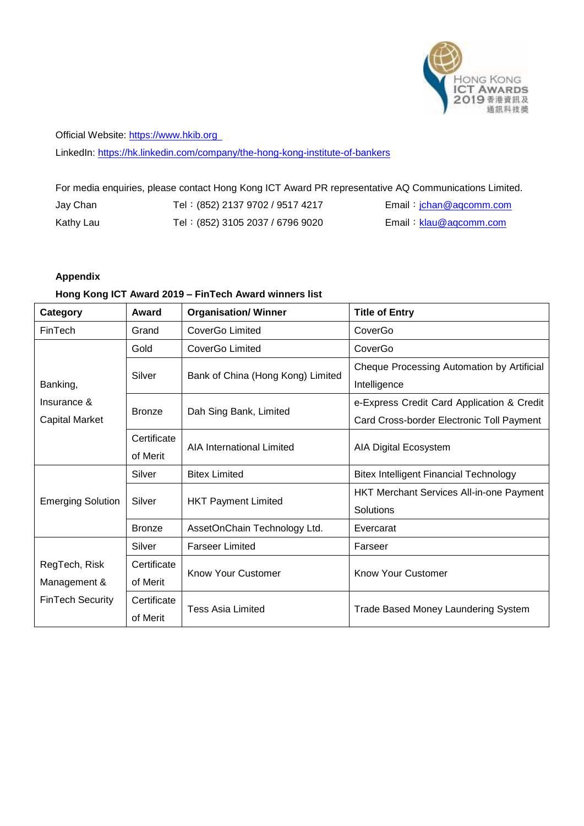

## Official Website: [https://www.hkib.org](https://www.hkib.org/)

LinkedIn:<https://hk.linkedin.com/company/the-hong-kong-institute-of-bankers>

## For media enquiries, please contact Hong Kong ICT Award PR representative AQ Communications Limited.

| Jay Chan  | Tel: (852) 2137 9702 / 9517 4217 | Email: jchan@aqcomm.com |
|-----------|----------------------------------|-------------------------|
| Kathy Lau | Tel: (852) 3105 2037 / 6796 9020 | Email: klau@aqcomm.com  |

## **Appendix**

#### **Hong Kong ICT Award 2019 – FinTech Award winners list**

| Category                                         | Award         | <b>Organisation/ Winner</b>       | <b>Title of Entry</b>                           |  |
|--------------------------------------------------|---------------|-----------------------------------|-------------------------------------------------|--|
| FinTech                                          | Grand         | CoverGo Limited                   | CoverGo                                         |  |
| Banking,<br>Insurance &<br><b>Capital Market</b> | Gold          | CoverGo Limited                   | CoverGo                                         |  |
|                                                  | Silver        | Bank of China (Hong Kong) Limited | Cheque Processing Automation by Artificial      |  |
|                                                  |               |                                   | Intelligence                                    |  |
|                                                  | <b>Bronze</b> | Dah Sing Bank, Limited            | e-Express Credit Card Application & Credit      |  |
|                                                  |               |                                   | Card Cross-border Electronic Toll Payment       |  |
|                                                  | Certificate   | <b>AIA International Limited</b>  | AIA Digital Ecosystem                           |  |
|                                                  | of Merit      |                                   |                                                 |  |
| <b>Emerging Solution</b>                         | Silver        | <b>Bitex Limited</b>              | <b>Bitex Intelligent Financial Technology</b>   |  |
|                                                  | Silver        | <b>HKT Payment Limited</b>        | <b>HKT Merchant Services All-in-one Payment</b> |  |
|                                                  |               |                                   | Solutions                                       |  |
|                                                  | <b>Bronze</b> | AssetOnChain Technology Ltd.      | Evercarat                                       |  |
|                                                  | Silver        | <b>Farseer Limited</b>            | Farseer                                         |  |
| RegTech, Risk                                    | Certificate   | <b>Know Your Customer</b>         | <b>Know Your Customer</b>                       |  |
| Management &                                     | of Merit      |                                   |                                                 |  |
| <b>FinTech Security</b>                          | Certificate   | <b>Tess Asia Limited</b>          | <b>Trade Based Money Laundering System</b>      |  |
|                                                  | of Merit      |                                   |                                                 |  |